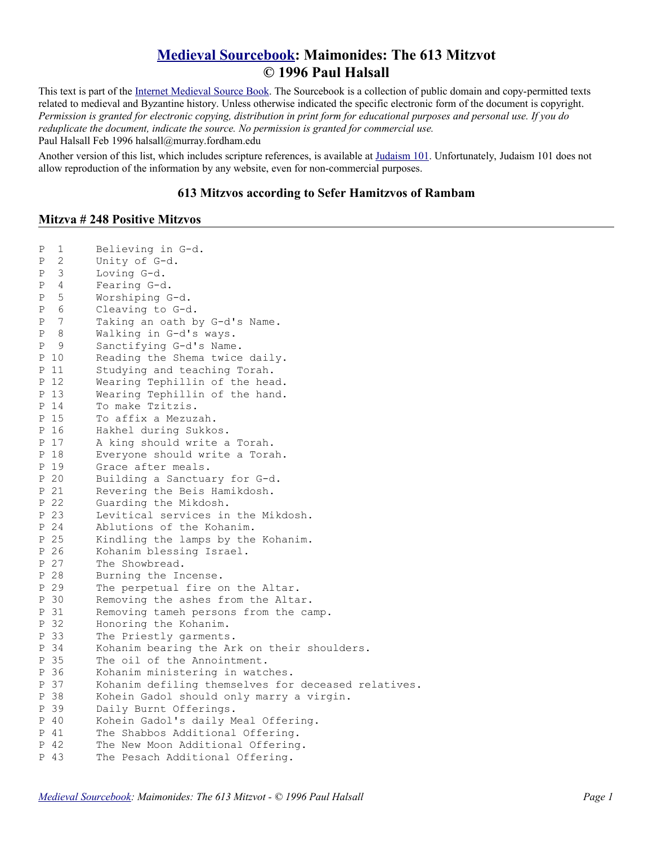## **[Medieval Sourcebook:](http://www.fordham.edu/halsall/sbook.html) Maimonides: The 613 Mitzvot © 1996 Paul Halsall**

This text is part of the [Internet Medieval Source Book.](http://www.fordham.edu/halsall/sbook.html) The Sourcebook is a collection of public domain and copy-permitted texts related to medieval and Byzantine history. Unless otherwise indicated the specific electronic form of the document is copyright. *Permission is granted for electronic copying, distribution in print form for educational purposes and personal use. If you do reduplicate the document, indicate the source. No permission is granted for commercial use.* Paul Halsall Feb 1996 halsall@murray.fordham.edu

Another version of this list, which includes scripture references, is available at [Judaism 101.](http://www.jewfaq.org/613.htm) Unfortunately, Judaism 101 does not allow reproduction of the information by any website, even for non-commercial purposes.

## **613 Mitzvos according to Sefer Hamitzvos of Rambam**

## **Mitzva # 248 Positive Mitzvos**

| 2<br>Unity of G-d.<br>Ρ<br>3<br>Loving G-d.<br>Ρ<br>4<br>Fearing G-d.<br>Ρ<br>5<br>Worshiping G-d.<br>Ρ<br>Cleaving to G-d.<br>6<br>Ρ<br>7<br>Taking an oath by G-d's Name.<br>Ρ<br>8<br>Walking in G-d's ways.<br>Ρ<br>9<br>Sanctifying G-d's Name.<br>Ρ<br>Reading the Shema twice daily.<br>10<br>Ρ<br>-11<br>Studying and teaching Torah.<br>Ρ<br>-12<br>Wearing Tephillin of the head.<br>Ρ<br>Wearing Tephillin of the hand.<br>-13<br>Ρ<br>14<br>To make Tzitzis.<br>Ρ<br>P 15<br>To affix a Mezuzah.<br>16<br>Hakhel during Sukkos.<br>Ρ<br>17<br>A king should write a Torah.<br>Ρ<br>18<br>Everyone should write a Torah.<br>Ρ<br>P 19<br>Grace after meals.<br>- 20<br>Building a Sanctuary for G-d.<br>Ρ<br>-21<br>Revering the Beis Hamikdosh.<br>Ρ<br>22<br>Guarding the Mikdosh.<br>Ρ<br>23<br>Levitical services in the Mikdosh.<br>Ρ<br>24<br>Ablutions of the Kohanim.<br>Ρ<br>25<br>Kindling the lamps by the Kohanim.<br>Ρ<br>-26<br>Kohanim blessing Israel.<br>Ρ<br>27<br>The Showbread.<br>Ρ<br>P 28<br>Burning the Incense.<br>P 29<br>The perpetual fire on the Altar.<br>P 30<br>Removing the ashes from the Altar.<br>-31<br>Ρ<br>Removing tameh persons from the camp.<br>Honoring the Kohanim.<br>32<br>Ρ<br>33<br>The Priestly garments.<br>Ρ<br>P 34<br>Kohanim bearing the Ark on their shoulders.<br>35<br>The oil of the Annointment.<br>Ρ<br>36<br>Kohanim ministering in watches.<br>Ρ<br>37<br>Kohanim defiling themselves for deceased relatives.<br>Ρ<br>38<br>Kohein Gadol should only marry a virgin.<br>Ρ<br>39<br>Daily Burnt Offerings.<br>Ρ<br>Kohein Gadol's daily Meal Offering.<br>- 40<br>Ρ<br>P 41<br>The Shabbos Additional Offering. | Ρ | 1   | Believing in G-d.                 |
|------------------------------------------------------------------------------------------------------------------------------------------------------------------------------------------------------------------------------------------------------------------------------------------------------------------------------------------------------------------------------------------------------------------------------------------------------------------------------------------------------------------------------------------------------------------------------------------------------------------------------------------------------------------------------------------------------------------------------------------------------------------------------------------------------------------------------------------------------------------------------------------------------------------------------------------------------------------------------------------------------------------------------------------------------------------------------------------------------------------------------------------------------------------------------------------------------------------------------------------------------------------------------------------------------------------------------------------------------------------------------------------------------------------------------------------------------------------------------------------------------------------------------------------------------------------------------------------------------------------------------------------------------------------------------------------|---|-----|-----------------------------------|
|                                                                                                                                                                                                                                                                                                                                                                                                                                                                                                                                                                                                                                                                                                                                                                                                                                                                                                                                                                                                                                                                                                                                                                                                                                                                                                                                                                                                                                                                                                                                                                                                                                                                                          |   |     |                                   |
|                                                                                                                                                                                                                                                                                                                                                                                                                                                                                                                                                                                                                                                                                                                                                                                                                                                                                                                                                                                                                                                                                                                                                                                                                                                                                                                                                                                                                                                                                                                                                                                                                                                                                          |   |     |                                   |
|                                                                                                                                                                                                                                                                                                                                                                                                                                                                                                                                                                                                                                                                                                                                                                                                                                                                                                                                                                                                                                                                                                                                                                                                                                                                                                                                                                                                                                                                                                                                                                                                                                                                                          |   |     |                                   |
|                                                                                                                                                                                                                                                                                                                                                                                                                                                                                                                                                                                                                                                                                                                                                                                                                                                                                                                                                                                                                                                                                                                                                                                                                                                                                                                                                                                                                                                                                                                                                                                                                                                                                          |   |     |                                   |
|                                                                                                                                                                                                                                                                                                                                                                                                                                                                                                                                                                                                                                                                                                                                                                                                                                                                                                                                                                                                                                                                                                                                                                                                                                                                                                                                                                                                                                                                                                                                                                                                                                                                                          |   |     |                                   |
|                                                                                                                                                                                                                                                                                                                                                                                                                                                                                                                                                                                                                                                                                                                                                                                                                                                                                                                                                                                                                                                                                                                                                                                                                                                                                                                                                                                                                                                                                                                                                                                                                                                                                          |   |     |                                   |
|                                                                                                                                                                                                                                                                                                                                                                                                                                                                                                                                                                                                                                                                                                                                                                                                                                                                                                                                                                                                                                                                                                                                                                                                                                                                                                                                                                                                                                                                                                                                                                                                                                                                                          |   |     |                                   |
|                                                                                                                                                                                                                                                                                                                                                                                                                                                                                                                                                                                                                                                                                                                                                                                                                                                                                                                                                                                                                                                                                                                                                                                                                                                                                                                                                                                                                                                                                                                                                                                                                                                                                          |   |     |                                   |
|                                                                                                                                                                                                                                                                                                                                                                                                                                                                                                                                                                                                                                                                                                                                                                                                                                                                                                                                                                                                                                                                                                                                                                                                                                                                                                                                                                                                                                                                                                                                                                                                                                                                                          |   |     |                                   |
|                                                                                                                                                                                                                                                                                                                                                                                                                                                                                                                                                                                                                                                                                                                                                                                                                                                                                                                                                                                                                                                                                                                                                                                                                                                                                                                                                                                                                                                                                                                                                                                                                                                                                          |   |     |                                   |
|                                                                                                                                                                                                                                                                                                                                                                                                                                                                                                                                                                                                                                                                                                                                                                                                                                                                                                                                                                                                                                                                                                                                                                                                                                                                                                                                                                                                                                                                                                                                                                                                                                                                                          |   |     |                                   |
|                                                                                                                                                                                                                                                                                                                                                                                                                                                                                                                                                                                                                                                                                                                                                                                                                                                                                                                                                                                                                                                                                                                                                                                                                                                                                                                                                                                                                                                                                                                                                                                                                                                                                          |   |     |                                   |
|                                                                                                                                                                                                                                                                                                                                                                                                                                                                                                                                                                                                                                                                                                                                                                                                                                                                                                                                                                                                                                                                                                                                                                                                                                                                                                                                                                                                                                                                                                                                                                                                                                                                                          |   |     |                                   |
|                                                                                                                                                                                                                                                                                                                                                                                                                                                                                                                                                                                                                                                                                                                                                                                                                                                                                                                                                                                                                                                                                                                                                                                                                                                                                                                                                                                                                                                                                                                                                                                                                                                                                          |   |     |                                   |
|                                                                                                                                                                                                                                                                                                                                                                                                                                                                                                                                                                                                                                                                                                                                                                                                                                                                                                                                                                                                                                                                                                                                                                                                                                                                                                                                                                                                                                                                                                                                                                                                                                                                                          |   |     |                                   |
|                                                                                                                                                                                                                                                                                                                                                                                                                                                                                                                                                                                                                                                                                                                                                                                                                                                                                                                                                                                                                                                                                                                                                                                                                                                                                                                                                                                                                                                                                                                                                                                                                                                                                          |   |     |                                   |
|                                                                                                                                                                                                                                                                                                                                                                                                                                                                                                                                                                                                                                                                                                                                                                                                                                                                                                                                                                                                                                                                                                                                                                                                                                                                                                                                                                                                                                                                                                                                                                                                                                                                                          |   |     |                                   |
|                                                                                                                                                                                                                                                                                                                                                                                                                                                                                                                                                                                                                                                                                                                                                                                                                                                                                                                                                                                                                                                                                                                                                                                                                                                                                                                                                                                                                                                                                                                                                                                                                                                                                          |   |     |                                   |
|                                                                                                                                                                                                                                                                                                                                                                                                                                                                                                                                                                                                                                                                                                                                                                                                                                                                                                                                                                                                                                                                                                                                                                                                                                                                                                                                                                                                                                                                                                                                                                                                                                                                                          |   |     |                                   |
|                                                                                                                                                                                                                                                                                                                                                                                                                                                                                                                                                                                                                                                                                                                                                                                                                                                                                                                                                                                                                                                                                                                                                                                                                                                                                                                                                                                                                                                                                                                                                                                                                                                                                          |   |     |                                   |
|                                                                                                                                                                                                                                                                                                                                                                                                                                                                                                                                                                                                                                                                                                                                                                                                                                                                                                                                                                                                                                                                                                                                                                                                                                                                                                                                                                                                                                                                                                                                                                                                                                                                                          |   |     |                                   |
|                                                                                                                                                                                                                                                                                                                                                                                                                                                                                                                                                                                                                                                                                                                                                                                                                                                                                                                                                                                                                                                                                                                                                                                                                                                                                                                                                                                                                                                                                                                                                                                                                                                                                          |   |     |                                   |
|                                                                                                                                                                                                                                                                                                                                                                                                                                                                                                                                                                                                                                                                                                                                                                                                                                                                                                                                                                                                                                                                                                                                                                                                                                                                                                                                                                                                                                                                                                                                                                                                                                                                                          |   |     |                                   |
|                                                                                                                                                                                                                                                                                                                                                                                                                                                                                                                                                                                                                                                                                                                                                                                                                                                                                                                                                                                                                                                                                                                                                                                                                                                                                                                                                                                                                                                                                                                                                                                                                                                                                          |   |     |                                   |
|                                                                                                                                                                                                                                                                                                                                                                                                                                                                                                                                                                                                                                                                                                                                                                                                                                                                                                                                                                                                                                                                                                                                                                                                                                                                                                                                                                                                                                                                                                                                                                                                                                                                                          |   |     |                                   |
|                                                                                                                                                                                                                                                                                                                                                                                                                                                                                                                                                                                                                                                                                                                                                                                                                                                                                                                                                                                                                                                                                                                                                                                                                                                                                                                                                                                                                                                                                                                                                                                                                                                                                          |   |     |                                   |
|                                                                                                                                                                                                                                                                                                                                                                                                                                                                                                                                                                                                                                                                                                                                                                                                                                                                                                                                                                                                                                                                                                                                                                                                                                                                                                                                                                                                                                                                                                                                                                                                                                                                                          |   |     |                                   |
|                                                                                                                                                                                                                                                                                                                                                                                                                                                                                                                                                                                                                                                                                                                                                                                                                                                                                                                                                                                                                                                                                                                                                                                                                                                                                                                                                                                                                                                                                                                                                                                                                                                                                          |   |     |                                   |
|                                                                                                                                                                                                                                                                                                                                                                                                                                                                                                                                                                                                                                                                                                                                                                                                                                                                                                                                                                                                                                                                                                                                                                                                                                                                                                                                                                                                                                                                                                                                                                                                                                                                                          |   |     |                                   |
|                                                                                                                                                                                                                                                                                                                                                                                                                                                                                                                                                                                                                                                                                                                                                                                                                                                                                                                                                                                                                                                                                                                                                                                                                                                                                                                                                                                                                                                                                                                                                                                                                                                                                          |   |     |                                   |
|                                                                                                                                                                                                                                                                                                                                                                                                                                                                                                                                                                                                                                                                                                                                                                                                                                                                                                                                                                                                                                                                                                                                                                                                                                                                                                                                                                                                                                                                                                                                                                                                                                                                                          |   |     |                                   |
|                                                                                                                                                                                                                                                                                                                                                                                                                                                                                                                                                                                                                                                                                                                                                                                                                                                                                                                                                                                                                                                                                                                                                                                                                                                                                                                                                                                                                                                                                                                                                                                                                                                                                          |   |     |                                   |
|                                                                                                                                                                                                                                                                                                                                                                                                                                                                                                                                                                                                                                                                                                                                                                                                                                                                                                                                                                                                                                                                                                                                                                                                                                                                                                                                                                                                                                                                                                                                                                                                                                                                                          |   |     |                                   |
|                                                                                                                                                                                                                                                                                                                                                                                                                                                                                                                                                                                                                                                                                                                                                                                                                                                                                                                                                                                                                                                                                                                                                                                                                                                                                                                                                                                                                                                                                                                                                                                                                                                                                          |   |     |                                   |
|                                                                                                                                                                                                                                                                                                                                                                                                                                                                                                                                                                                                                                                                                                                                                                                                                                                                                                                                                                                                                                                                                                                                                                                                                                                                                                                                                                                                                                                                                                                                                                                                                                                                                          |   |     |                                   |
|                                                                                                                                                                                                                                                                                                                                                                                                                                                                                                                                                                                                                                                                                                                                                                                                                                                                                                                                                                                                                                                                                                                                                                                                                                                                                                                                                                                                                                                                                                                                                                                                                                                                                          |   |     |                                   |
|                                                                                                                                                                                                                                                                                                                                                                                                                                                                                                                                                                                                                                                                                                                                                                                                                                                                                                                                                                                                                                                                                                                                                                                                                                                                                                                                                                                                                                                                                                                                                                                                                                                                                          |   |     |                                   |
|                                                                                                                                                                                                                                                                                                                                                                                                                                                                                                                                                                                                                                                                                                                                                                                                                                                                                                                                                                                                                                                                                                                                                                                                                                                                                                                                                                                                                                                                                                                                                                                                                                                                                          |   |     |                                   |
|                                                                                                                                                                                                                                                                                                                                                                                                                                                                                                                                                                                                                                                                                                                                                                                                                                                                                                                                                                                                                                                                                                                                                                                                                                                                                                                                                                                                                                                                                                                                                                                                                                                                                          |   |     |                                   |
|                                                                                                                                                                                                                                                                                                                                                                                                                                                                                                                                                                                                                                                                                                                                                                                                                                                                                                                                                                                                                                                                                                                                                                                                                                                                                                                                                                                                                                                                                                                                                                                                                                                                                          |   |     |                                   |
|                                                                                                                                                                                                                                                                                                                                                                                                                                                                                                                                                                                                                                                                                                                                                                                                                                                                                                                                                                                                                                                                                                                                                                                                                                                                                                                                                                                                                                                                                                                                                                                                                                                                                          | Ρ | -42 | The New Moon Additional Offering. |
| P 43<br>The Pesach Additional Offering.                                                                                                                                                                                                                                                                                                                                                                                                                                                                                                                                                                                                                                                                                                                                                                                                                                                                                                                                                                                                                                                                                                                                                                                                                                                                                                                                                                                                                                                                                                                                                                                                                                                  |   |     |                                   |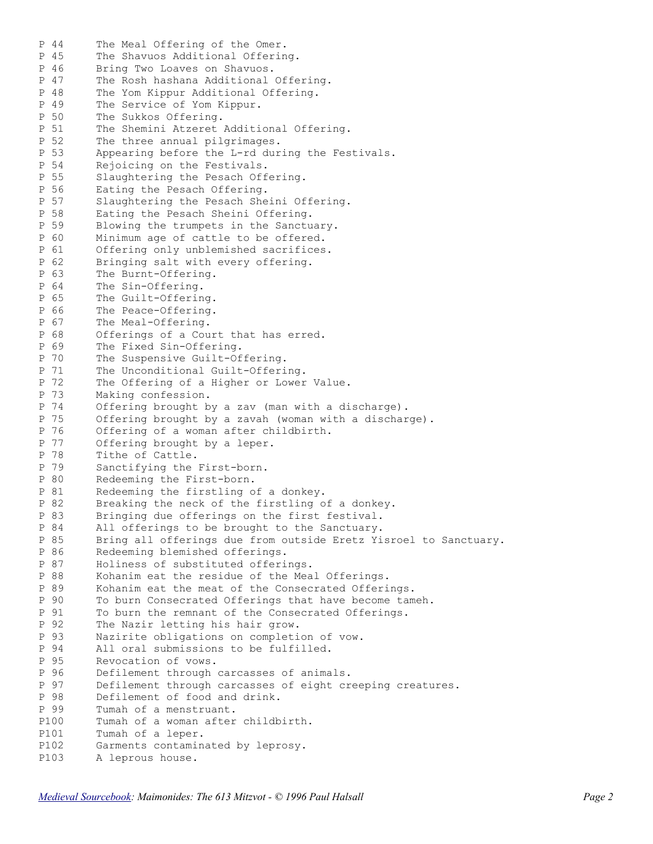P 44 The Meal Offering of the Omer. P 45 The Shavuos Additional Offering. P 46 Bring Two Loaves on Shavuos. P 47 The Rosh hashana Additional Offering. P 48 The Yom Kippur Additional Offering. P 49 The Service of Yom Kippur. P 50 The Sukkos Offering. P 51 The Shemini Atzeret Additional Offering. P 52 The three annual pilgrimages. P 53 Appearing before the L-rd during the Festivals. P 54 Rejoicing on the Festivals. P 55 Slaughtering the Pesach Offering. P 56 Eating the Pesach Offering. P 57 Slaughtering the Pesach Sheini Offering. P 58 Eating the Pesach Sheini Offering. P 59 Blowing the trumpets in the Sanctuary. P 60 Minimum age of cattle to be offered. P 61 Offering only unblemished sacrifices. P 62 Bringing salt with every offering. P 63 The Burnt-Offering. P 64 The Sin-Offering. P 65 The Guilt-Offering. P 66 The Peace-Offering. P 67 The Meal-Offering. P 68 Offerings of a Court that has erred. P 69 The Fixed Sin-Offering. P 70 The Suspensive Guilt-Offering. P 71 The Unconditional Guilt-Offering. P 72 The Offering of a Higher or Lower Value. P 73 Making confession. P 74 Offering brought by a zav (man with a discharge). P 75 Offering brought by a zavah (woman with a discharge). P 76 Offering of a woman after childbirth. P 77 Offering brought by a leper. P 78 Tithe of Cattle. P 79 Sanctifying the First-born. P 80 Redeeming the First-born. P 81 Redeeming the firstling of a donkey. P 82 Breaking the neck of the firstling of a donkey. P 83 Bringing due offerings on the first festival. P 84 All offerings to be brought to the Sanctuary. P 85 Bring all offerings due from outside Eretz Yisroel to Sanctuary. P 86 Redeeming blemished offerings. P 87 Holiness of substituted offerings. P 88 Kohanim eat the residue of the Meal Offerings. P 89 Kohanim eat the meat of the Consecrated Offerings. P 90 To burn Consecrated Offerings that have become tameh. P 91 To burn the remnant of the Consecrated Offerings. P 92 The Nazir letting his hair grow. P 93 Nazirite obligations on completion of vow. P 94 All oral submissions to be fulfilled. P 95 Revocation of vows. P 96 Defilement through carcasses of animals.<br>P 97 Defilement through carcasses of eight cr P 97 Defilement through carcasses of eight creeping creatures.<br>P 98 Defilement of food and drink. Defilement of food and drink. P 99 Tumah of a menstruant. P100 Tumah of a woman after childbirth. P101 Tumah of a leper. P102 Garments contaminated by leprosy. P103 A leprous house.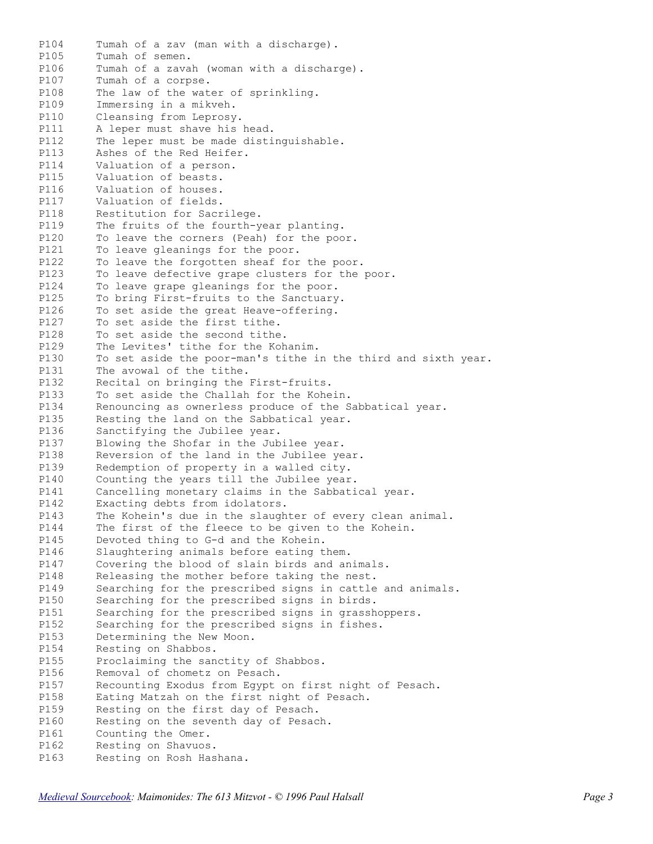P104 Tumah of a zav (man with a discharge). P105 Tumah of semen. P106 Tumah of a zavah (woman with a discharge). P107 Tumah of a corpse. P108 The law of the water of sprinkling. P109 Immersing in a mikveh. P110 Cleansing from Leprosy. P111 A leper must shave his head. P112 The leper must be made distinguishable. P113 Ashes of the Red Heifer. P114 Valuation of a person. P115 Valuation of beasts. P116 Valuation of houses. P117 Valuation of fields. P118 Restitution for Sacrilege. P119 The fruits of the fourth-year planting. P120 To leave the corners (Peah) for the poor. P121 To leave gleanings for the poor. P122 To leave the forgotten sheaf for the poor. P123 To leave defective grape clusters for the poor. P124 To leave grape gleanings for the poor. P125 To bring First-fruits to the Sanctuary. P126 To set aside the great Heave-offering. P127 To set aside the first tithe. P128 To set aside the second tithe. P129 The Levites' tithe for the Kohanim. P130 To set aside the poor-man's tithe in the third and sixth year.<br>P131 The avowal of the tithe. P131 The avowal of the tithe. P132 Recital on bringing the First-fruits. P133 To set aside the Challah for the Kohein. P134 Renouncing as ownerless produce of the Sabbatical year. P135 Resting the land on the Sabbatical year. P136 Sanctifying the Jubilee year. P137 Blowing the Shofar in the Jubilee year. P138 Reversion of the land in the Jubilee year. P139 Redemption of property in a walled city. P140 Counting the years till the Jubilee year. P141 Cancelling monetary claims in the Sabbatical year. P142 Exacting debts from idolators. P143 The Kohein's due in the slaughter of every clean animal. P144 The first of the fleece to be given to the Kohein. P145 Devoted thing to G-d and the Kohein. P146 Slaughtering animals before eating them. P147 Covering the blood of slain birds and animals. P148 Releasing the mother before taking the nest. P149 Searching for the prescribed signs in cattle and animals. P150 Searching for the prescribed signs in birds. P151 Searching for the prescribed signs in grasshoppers. P152 Searching for the prescribed signs in fishes. P153 Determining the New Moon. P154 Resting on Shabbos. P155 Proclaiming the sanctity of Shabbos. P156 Removal of chometz on Pesach. P157 Recounting Exodus from Egypt on first night of Pesach. P158 Eating Matzah on the first night of Pesach. P159 Resting on the first day of Pesach. P160 Resting on the seventh day of Pesach. P161 Counting the Omer. P162 Resting on Shavuos. P163 Resting on Rosh Hashana.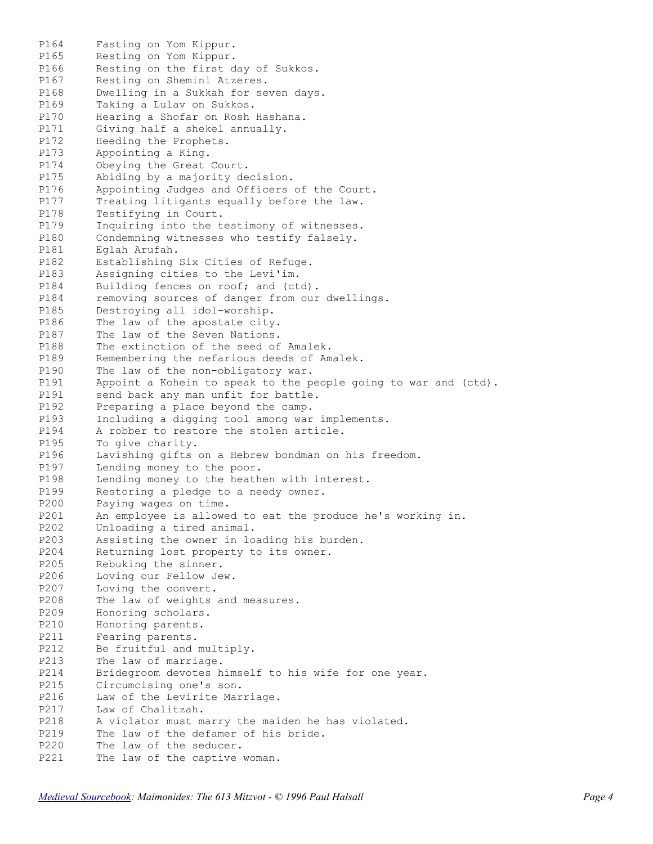P164 Fasting on Yom Kippur. P165 Resting on Yom Kippur. P166 Resting on the first day of Sukkos. P167 Resting on Shemini Atzeres. P168 Dwelling in a Sukkah for seven days. P169 Taking a Lulav on Sukkos. P170 Hearing a Shofar on Rosh Hashana. P171 Giving half a shekel annually. P172 Heeding the Prophets. P173 Appointing a King. P174 Obeying the Great Court. P175 Abiding by a majority decision. P176 Appointing Judges and Officers of the Court. P177 Treating litigants equally before the law. P178 Testifying in Court. P179 Inquiring into the testimony of witnesses. P180 Condemning witnesses who testify falsely. P181 Eglah Arufah. P182 Establishing Six Cities of Refuge. P183 Assigning cities to the Levi'im. P184 Building fences on roof; and (ctd). P184 removing sources of danger from our dwellings. P185 Destroying all idol-worship. P186 The law of the apostate city. P187 The law of the Seven Nations. P188 The extinction of the seed of Amalek. P189 Remembering the nefarious deeds of Amalek. P190 The law of the non-obligatory war.<br>P191 Appoint a Kohein to speak to the p Appoint a Kohein to speak to the people going to war and (ctd). P191 send back any man unfit for battle. P192 Preparing a place beyond the camp. P193 Including a digging tool among war implements. P194 A robber to restore the stolen article. P195 To give charity. P196 Lavishing gifts on a Hebrew bondman on his freedom. P197 Lending money to the poor. P198 Lending money to the heathen with interest. P199 Restoring a pledge to a needy owner. P200 Paying wages on time. P201 An employee is allowed to eat the produce he's working in. P202 Unloading a tired animal. P203 Assisting the owner in loading his burden. P204 Returning lost property to its owner. P205 Rebuking the sinner. P206 Loving our Fellow Jew. P207 Loving the convert. P208 The law of weights and measures. P209 Honoring scholars. P210 Honoring parents. P211 Fearing parents. P212 Be fruitful and multiply. P213 The law of marriage. P214 Bridegroom devotes himself to his wife for one year. P215 Circumcising one's son. P216 Law of the Levirite Marriage. P217 Law of Chalitzah. P218 A violator must marry the maiden he has violated. P219 The law of the defamer of his bride. P220 The law of the seducer. P221 The law of the captive woman.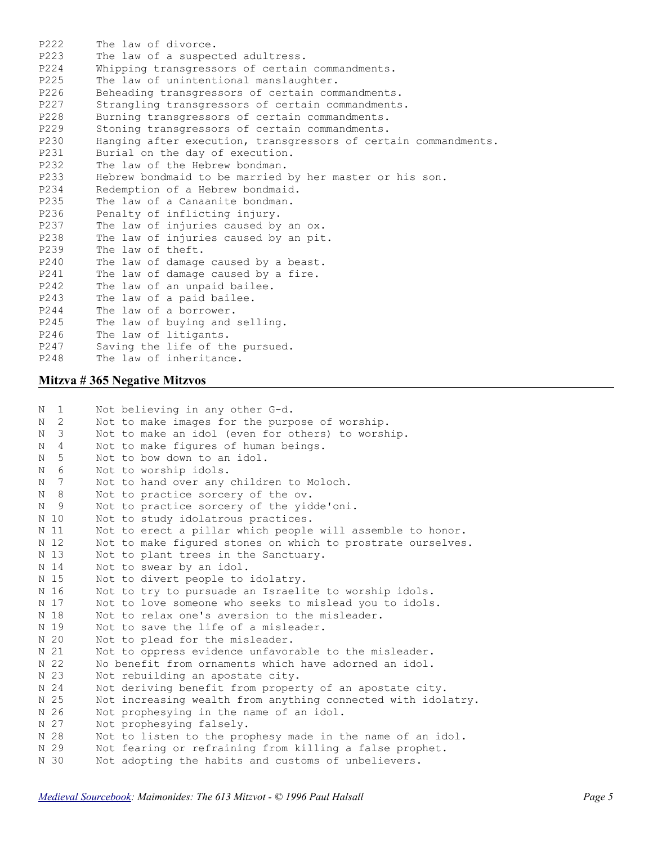P222 The law of divorce. P223 The law of a suspected adultress. P224 Whipping transgressors of certain commandments. P225 The law of unintentional manslaughter. P226 Beheading transgressors of certain commandments. P227 Strangling transgressors of certain commandments. P228 Burning transgressors of certain commandments. P229 Stoning transgressors of certain commandments. P230 Hanging after execution, transgressors of certain commandments.<br>P231 Burial on the day of execution. Burial on the day of execution. P232 The law of the Hebrew bondman. P233 Hebrew bondmaid to be married by her master or his son. P234 Redemption of a Hebrew bondmaid. P235 The law of a Canaanite bondman. P236 Penalty of inflicting injury. P237 The law of injuries caused by an ox.<br>P238 The law of injuries caused by an pit The law of injuries caused by an pit. P239 The law of theft. P240 The law of damage caused by a beast. P241 The law of damage caused by a fire. P242 The law of an unpaid bailee. P243 The law of a paid bailee. P244 The law of a borrower. P245 The law of buying and selling. P246 The law of litigants. P247 Saving the life of the pursued. P248 The law of inheritance.

## **Mitzva # 365 Negative Mitzvos**

| N | $\mathbf{1}$ | Not believing in any other G-d.                              |
|---|--------------|--------------------------------------------------------------|
| N | 2            | Not to make images for the purpose of worship.               |
| N | 3            | Not to make an idol (even for others) to worship.            |
| N | 4            | Not to make figures of human beings.                         |
| N | 5            | Not to bow down to an idol.                                  |
| N | 6            | Not to worship idols.                                        |
| N | 7            | Not to hand over any children to Moloch.                     |
| N | 8            | Not to practice sorcery of the ov.                           |
| N | 9            | Not to practice sorcery of the yidde'oni.                    |
|   | N 10         | Not to study idolatrous practices.                           |
|   | N 11         | Not to erect a pillar which people will assemble to honor.   |
|   | N 12         | Not to make figured stones on which to prostrate ourselves.  |
|   | N 13         | Not to plant trees in the Sanctuary.                         |
|   | N 14         | Not to swear by an idol.                                     |
|   | N 15         | Not to divert people to idolatry.                            |
|   | N 16         | Not to try to pursuade an Israelite to worship idols.        |
|   | N 17         | Not to love someone who seeks to mislead you to idols.       |
|   | N 18         | Not to relax one's aversion to the misleader.                |
|   | N 19         | Not to save the life of a misleader.                         |
|   | N 20         | Not to plead for the misleader.                              |
|   | N 21         | Not to oppress evidence unfavorable to the misleader.        |
|   | N 22         | No benefit from ornaments which have adorned an idol.        |
|   | N 23         | Not rebuilding an apostate city.                             |
|   | N 24         | Not deriving benefit from property of an apostate city.      |
|   | N 25         | Not increasing wealth from anything connected with idolatry. |
|   | N 26         | Not prophesying in the name of an idol.                      |
|   | N 27         | Not prophesying falsely.                                     |
|   | N 28         | Not to listen to the prophesy made in the name of an idol.   |
|   | N 29         | Not fearing or refraining from killing a false prophet.      |
|   | N 30         | Not adopting the habits and customs of unbelievers.          |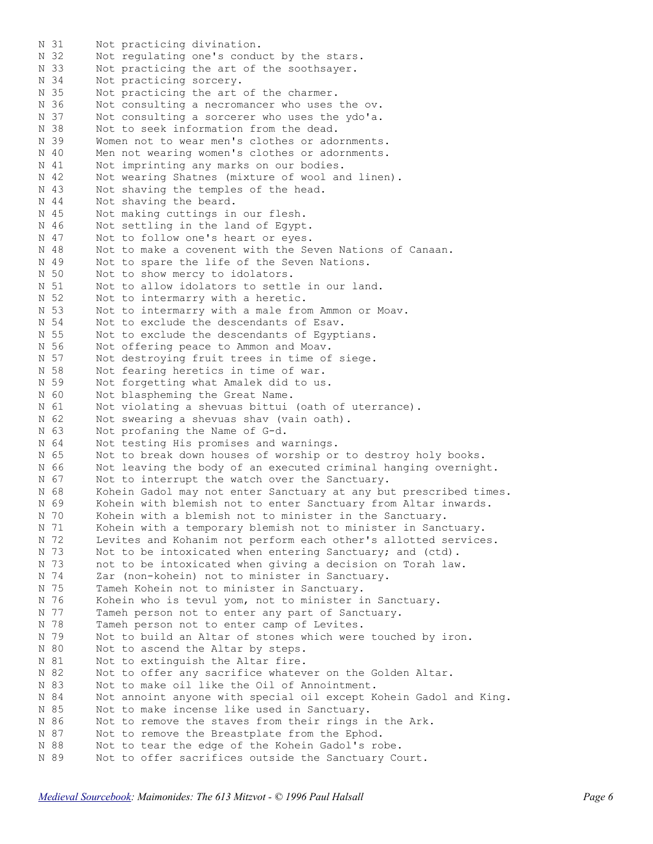N 31 Not practicing divination.<br>N 32 Not regulating one's condu N 32 Not regulating one's conduct by the stars. N 33 Not practicing the art of the soothsayer. N 34 Not practicing sorcery. N 35 Not practicing the art of the charmer. N 36 Not consulting a necromancer who uses the ov. N 37 Not consulting a sorcerer who uses the ydo'a. N 38 Not to seek information from the dead. N 39 Women not to wear men's clothes or adornments. N 40 Men not wearing women's clothes or adornments. N 41 Not imprinting any marks on our bodies. N 42 Not wearing Shatnes (mixture of wool and linen). N 43 Not shaving the temples of the head. N 44 Not shaving the beard. N 45 Not making cuttings in our flesh. N 46 Not settling in the land of Egypt. N 47 Not to follow one's heart or eyes. N 48 Not to make a covenent with the Seven Nations of Canaan. N 49 Not to spare the life of the Seven Nations. N 50 Not to show mercy to idolators. N 51 Not to allow idolators to settle in our land. N 52 Not to intermarry with a heretic. N 53 Not to intermarry with a male from Ammon or Moav. N 54 Not to exclude the descendants of Esav. N 55 Not to exclude the descendants of Egyptians. N 56 Not offering peace to Ammon and Moav. N 57 Not destroying fruit trees in time of siege. N 58 Not fearing heretics in time of war. N 59 Not forgetting what Amalek did to us. N 60 Not blaspheming the Great Name. N 61 Not violating a shevuas bittui (oath of uterrance). N 62 Not swearing a shevuas shav (vain oath). N 63 Not profaning the Name of G-d. N 64 Not testing His promises and warnings. N 65 Not to break down houses of worship or to destroy holy books. N 66 Not leaving the body of an executed criminal hanging overnight. N 67 Not to interrupt the watch over the Sanctuary. N 68 Kohein Gadol may not enter Sanctuary at any but prescribed times. N 69 Kohein with blemish not to enter Sanctuary from Altar inwards. N 70 Kohein with a blemish not to minister in the Sanctuary. N 71 Kohein with a temporary blemish not to minister in Sanctuary. N 72 Levites and Kohanim not perform each other's allotted services. N 73 Not to be intoxicated when entering Sanctuary; and (ctd). N 73 not to be intoxicated when giving a decision on Torah law. N 74 Zar (non-kohein) not to minister in Sanctuary. N 75 Tameh Kohein not to minister in Sanctuary. N 76 Kohein who is tevul yom, not to minister in Sanctuary. N 77 Tameh person not to enter any part of Sanctuary. N 78 Tameh person not to enter camp of Levites. N 79 Not to build an Altar of stones which were touched by iron. N 80 Not to ascend the Altar by steps. N 81 Not to extinguish the Altar fire. N 82 Not to offer any sacrifice whatever on the Golden Altar. N 83 Not to make oil like the Oil of Annointment. N 84 Not annoint anyone with special oil except Kohein Gadol and King. N 85 Not to make incense like used in Sanctuary. N 86 Not to remove the staves from their rings in the Ark. N 87 Not to remove the Breastplate from the Ephod. N 88 Not to tear the edge of the Kohein Gadol's robe. N 89 Not to offer sacrifices outside the Sanctuary Court.

*[Medieval Sourcebook:](http://www.fordham.edu/halsall/sbook.html) Maimonides: The 613 Mitzvot - © 1996 Paul Halsall Page 6*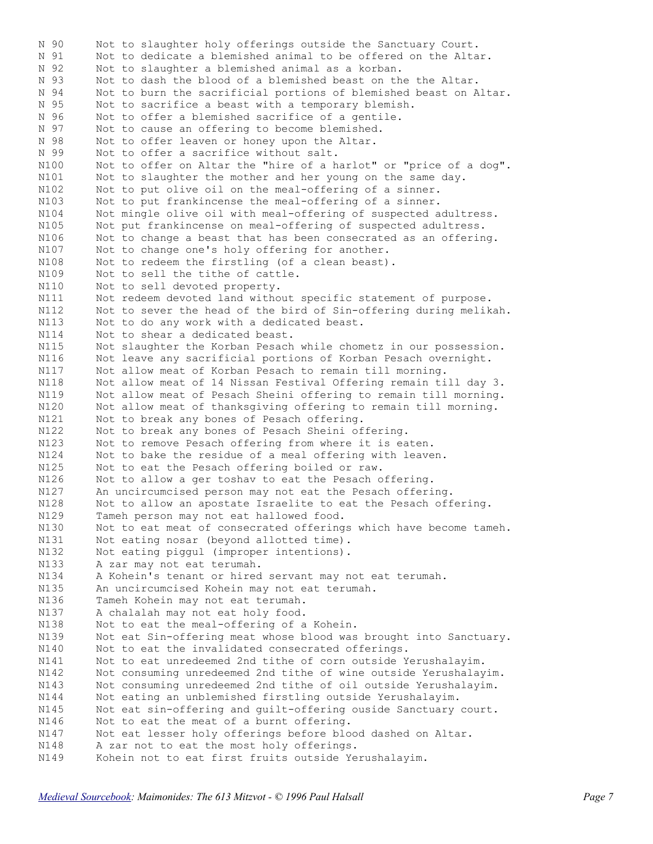N 90 Not to slaughter holy offerings outside the Sanctuary Court.<br>N 91 Not to dedicate a blemished animal to be offered on the Alta Not to dedicate a blemished animal to be offered on the Altar. N 92 Not to slaughter a blemished animal as a korban. N 93 Not to dash the blood of a blemished beast on the the Altar. N 94 Not to burn the sacrificial portions of blemished beast on Altar. N 95 Not to sacrifice a beast with a temporary blemish. N 96 Not to offer a blemished sacrifice of a gentile. N 97 Not to cause an offering to become blemished. N 98 Not to offer leaven or honey upon the Altar. N 99 Not to offer a sacrifice without salt. N100 Not to offer on Altar the "hire of a harlot" or "price of a dog". N101 Not to slaughter the mother and her young on the same day. N102 Not to put olive oil on the meal-offering of a sinner. N103 Not to put frankincense the meal-offering of a sinner. N104 Not mingle olive oil with meal-offering of suspected adultress. N105 Not put frankincense on meal-offering of suspected adultress. N106 Not to change a beast that has been consecrated as an offering. N107 Not to change one's holy offering for another. N108 Not to redeem the firstling (of a clean beast). N109 Not to sell the tithe of cattle. N110 Not to sell devoted property. N111 Not redeem devoted land without specific statement of purpose. N112 Not to sever the head of the bird of Sin-offering during melikah. N113 Not to do any work with a dedicated beast. N114 Not to shear a dedicated beast. N115 Not slaughter the Korban Pesach while chometz in our possession. N116 Not leave any sacrificial portions of Korban Pesach overnight. N117 Not allow meat of Korban Pesach to remain till morning. N118 Not allow meat of 14 Nissan Festival Offering remain till day 3. N119 Not allow meat of Pesach Sheini offering to remain till morning. N120 Not allow meat of thanksgiving offering to remain till morning. N121 Not to break any bones of Pesach offering. N122 Not to break any bones of Pesach Sheini offering. N123 Not to remove Pesach offering from where it is eaten. N124 Not to bake the residue of a meal offering with leaven. N125 Not to eat the Pesach offering boiled or raw. N126 Not to allow a ger toshav to eat the Pesach offering. N127 An uncircumcised person may not eat the Pesach offering. N128 Not to allow an apostate Israelite to eat the Pesach offering. N129 Tameh person may not eat hallowed food.<br>N130 Not to eat meat of consecrated offering N130 Not to eat meat of consecrated offerings which have become tameh. N131 Not eating nosar (beyond allotted time). N131 Not eating nosar (beyond allotted time).<br>N132 Not eating piggul (improper intentions). N133 A zar may not eat terumah. N134 A Kohein's tenant or hired servant may not eat terumah. N135 An uncircumcised Kohein may not eat terumah. N136 Tameh Kohein may not eat terumah. N137 A chalalah may not eat holy food. N138 Not to eat the meal-offering of a Kohein. N139 Not eat Sin-offering meat whose blood was brought into Sanctuary. N140 Not to eat the invalidated consecrated offerings. N141 Not to eat unredeemed 2nd tithe of corn outside Yerushalayim. N142 Not consuming unredeemed 2nd tithe of wine outside Yerushalayim. N143 Not consuming unredeemed 2nd tithe of oil outside Yerushalayim. N144 Not eating an unblemished firstling outside Yerushalayim. N145 Not eat sin-offering and guilt-offering ouside Sanctuary court. N146 Not to eat the meat of a burnt offering. N147 Not eat lesser holy offerings before blood dashed on Altar. N148 A zar not to eat the most holy offerings. N149 Kohein not to eat first fruits outside Yerushalayim.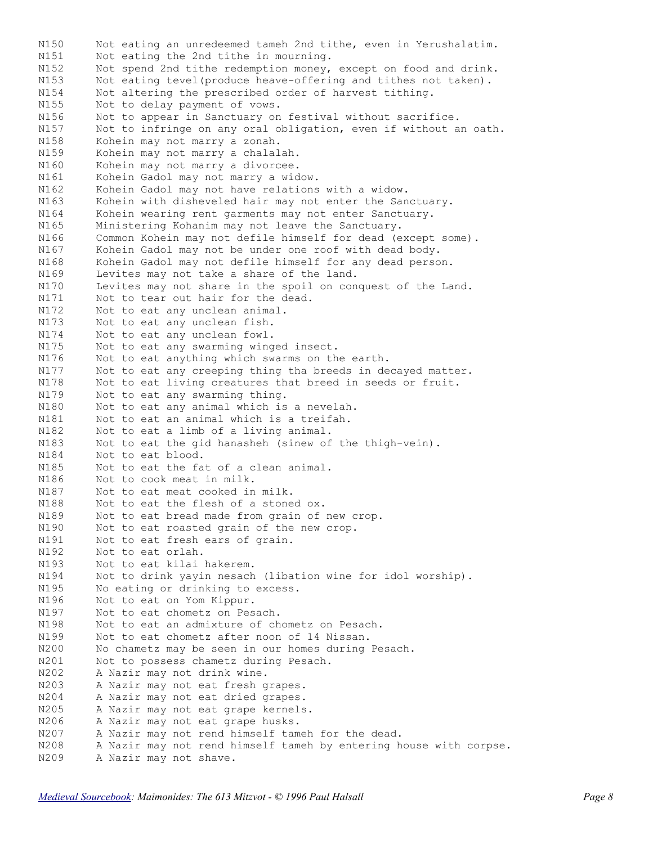Not eating an unredeemed tameh 2nd tithe, even in Yerushalatim. N151 Not eating the 2nd tithe in mourning.<br>N152 Not spend 2nd tithe in mourning. Not spend 2nd tithe redemption money, except on food and drink. N153 Not eating tevel(produce heave-offering and tithes not taken). N154 Not altering the prescribed order of harvest tithing. N155 Not to delay payment of vows. N156 Not to appear in Sanctuary on festival without sacrifice. N157 Not to infringe on any oral obligation, even if without an oath. N158 Kohein may not marry a zonah. N159 Kohein may not marry a chalalah. N160 Kohein may not marry a divorcee. N161 Kohein Gadol may not marry a widow. N162 Kohein Gadol may not have relations with a widow. N163 Kohein with disheveled hair may not enter the Sanctuary. N164 Kohein wearing rent garments may not enter Sanctuary. N165 Ministering Kohanim may not leave the Sanctuary. N166 Common Kohein may not defile himself for dead (except some). N167 Kohein Gadol may not be under one roof with dead body. N168 Kohein Gadol may not defile himself for any dead person. N169 Levites may not take a share of the land. N170 Levites may not share in the spoil on conquest of the Land. N171 Not to tear out hair for the dead. N172 Not to eat any unclean animal. N173 Not to eat any unclean fish. N174 Not to eat any unclean fowl. N175 Not to eat any swarming winged insect. N176 Not to eat anything which swarms on the earth. N177 Not to eat any creeping thing tha breeds in decayed matter. N178 Not to eat living creatures that breed in seeds or fruit. N179 Not to eat any swarming thing. N180 Not to eat any animal which is a nevelah. N181 Not to eat an animal which is a treifah. N182 Not to eat a limb of a living animal. N183 Not to eat the gid hanasheh (sinew of the thigh-vein). N184 Not to eat blood. N185 Not to eat the fat of a clean animal. N186 Not to cook meat in milk. N187 Not to eat meat cooked in milk. N188 Not to eat the flesh of a stoned ox. N189 Not to eat bread made from grain of new crop. N190 Not to eat roasted grain of the new crop. N191 Not to eat fresh ears of grain. N192 Not to eat orlah. N193 Not to eat kilai hakerem. N194 Not to drink yayin nesach (libation wine for idol worship). N195 No eating or drinking to excess. N196 Not to eat on Yom Kippur. N197 Not to eat chometz on Pesach. N198 Not to eat an admixture of chometz on Pesach. N199 Not to eat chometz after noon of 14 Nissan. N200 No chametz may be seen in our homes during Pesach. N201 Not to possess chametz during Pesach. N202 A Nazir may not drink wine.<br>N203 A Nazir may not eat fresh q A Nazir may not eat fresh grapes. N204 A Nazir may not eat dried grapes. N205 A Nazir may not eat grape kernels. N206 A Nazir may not eat grape husks. N207 A Nazir may not rend himself tameh for the dead. N208 A Nazir may not rend himself tameh by entering house with corpse. N200 A Nazir may not shave.<br>N209 A Nazir may not shave.

*[Medieval Sourcebook:](http://www.fordham.edu/halsall/sbook.html) Maimonides: The 613 Mitzvot - © 1996 Paul Halsall Page 8*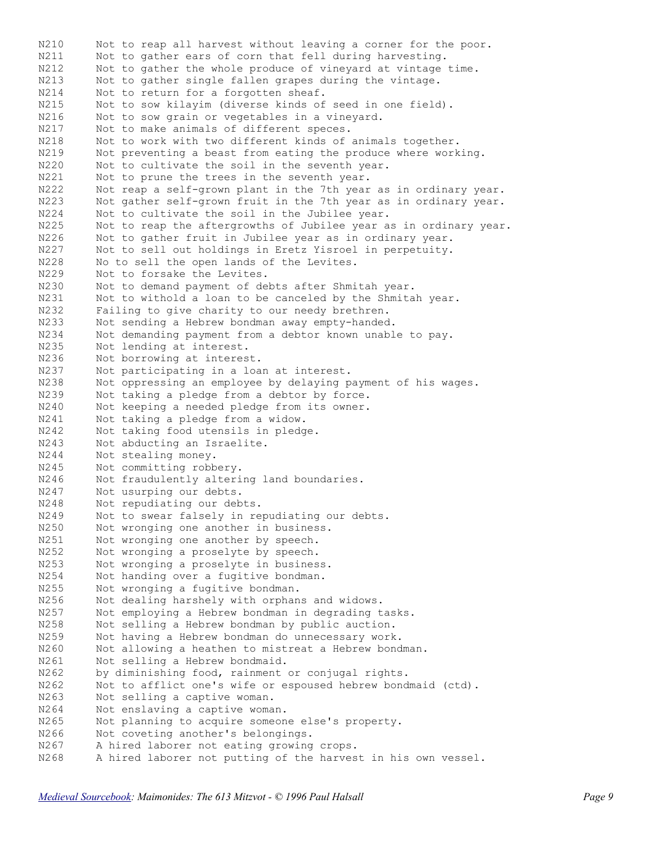N210 Not to reap all harvest without leaving a corner for the poor. N211 Not to gather ears of corn that fell during harvesting. N212 Not to gather the whole produce of vineyard at vintage time. N213 Not to gather single fallen grapes during the vintage. N214 Not to return for a forgotten sheaf. N215 Not to sow kilayim (diverse kinds of seed in one field). N216 Not to sow grain or vegetables in a vineyard.<br>N217 Not to make animals of different speces. N217 Not to make animals of different speces.<br>N218 Not to work with two different kinds of N218 Not to work with two different kinds of animals together.<br>N219 Not preventing a beast from eating the produce where work Not preventing a beast from eating the produce where working. N220 Not to cultivate the soil in the seventh year. N221 Not to prune the trees in the seventh year. N222 Not reap a self-grown plant in the 7th year as in ordinary year. N223 Not gather self-grown fruit in the 7th year as in ordinary year. N224 Not to cultivate the soil in the Jubilee year. N225 Not to reap the aftergrowths of Jubilee year as in ordinary year. N226 Not to gather fruit in Jubilee year as in ordinary year. N227 Not to sell out holdings in Eretz Yisroel in perpetuity. N228 No to sell the open lands of the Levites. N229 Not to forsake the Levites. N230 Not to demand payment of debts after Shmitah year. N231 Not to withold a loan to be canceled by the Shmitah year. N232 Failing to give charity to our needy brethren. N233 Not sending a Hebrew bondman away empty-handed. N234 Not demanding payment from a debtor known unable to pay. N235 Not lending at interest. N236 Not borrowing at interest. N237 Not participating in a loan at interest. N238 Not oppressing an employee by delaying payment of his wages. N239 Not taking a pledge from a debtor by force. N240 Not keeping a needed pledge from its owner. N241 Not taking a pledge from a widow. N242 Not taking food utensils in pledge. N243 Not abducting an Israelite. N244 Not stealing money. N245 Not committing robbery. N246 Not fraudulently altering land boundaries. N247 Not usurping our debts. N248 Not repudiating our debts. N249 Not to swear falsely in repudiating our debts. N250 Not wronging one another in business. N251 Not wronging one another by speech. N252 Not wronging a proselyte by speech. N253 Not wronging a proselyte in business. N254 Not handing over a fugitive bondman. N255 Not wronging a fugitive bondman. N256 Not dealing harshely with orphans and widows.<br>N257 Not employing a Hebrew bondman in degrading t Not employing a Hebrew bondman in degrading tasks. N258 Not selling a Hebrew bondman by public auction. N259 Not having a Hebrew bondman do unnecessary work. N260 Not allowing a heathen to mistreat a Hebrew bondman. N261 Not selling a Hebrew bondmaid. N262 by diminishing food, rainment or conjugal rights. N262 Not to afflict one's wife or espoused hebrew bondmaid (ctd). N263 Not selling a captive woman. N264 Not enslaving a captive woman. N265 Not planning to acquire someone else's property. N266 Not coveting another's belongings. N267 A hired laborer not eating growing crops. N268 A hired laborer not putting of the harvest in his own vessel.

*[Medieval Sourcebook:](http://www.fordham.edu/halsall/sbook.html) Maimonides: The 613 Mitzvot - © 1996 Paul Halsall Page 9*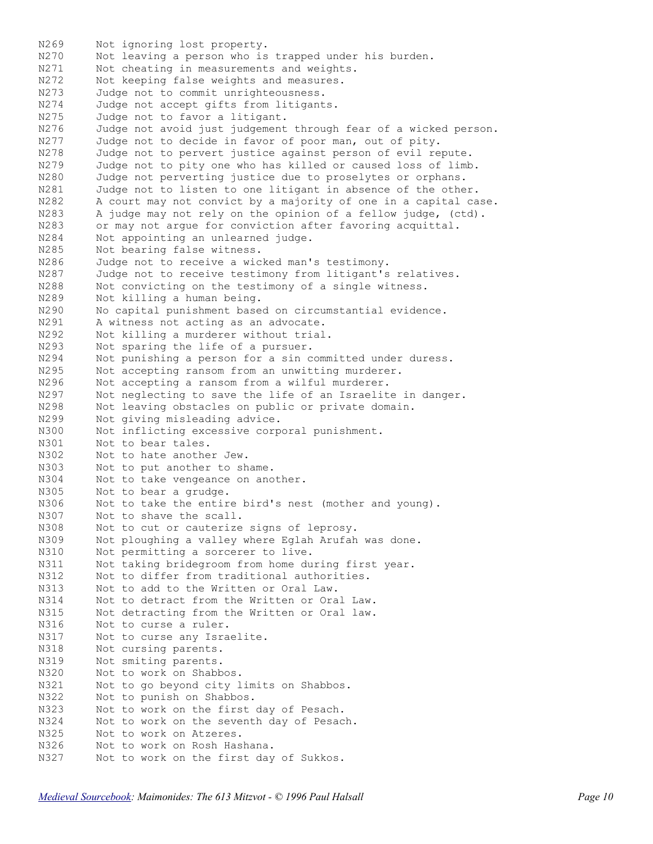N269 Not ignoring lost property.<br>N270 Not leaving a person who is N270 Not leaving a person who is trapped under his burden.<br>N271 Not cheating in measurements and weights. Not cheating in measurements and weights. N272 Not keeping false weights and measures. N273 Judge not to commit unrighteousness. N274 Judge not accept gifts from litigants. N275 Judge not to favor a litigant. N276 Judge not avoid just judgement through fear of a wicked person. N277 Judge not to decide in favor of poor man, out of pity. N278 Judge not to pervert justice against person of evil repute. N279 Judge not to pity one who has killed or caused loss of limb. N280 Judge not perverting justice due to proselytes or orphans. N281 Judge not to listen to one litigant in absence of the other. N282 A court may not convict by a majority of one in a capital case. N283 A judge may not rely on the opinion of a fellow judge, (ctd). N283 or may not argue for conviction after favoring acquittal.<br>N284 Not appointing an unlearned judge. Not appointing an unlearned judge. N285 Not bearing false witness. N286 Judge not to receive a wicked man's testimony. N287 Judge not to receive testimony from litigant's relatives. N288 Not convicting on the testimony of a single witness. N289 Not killing a human being. N290 No capital punishment based on circumstantial evidence. N291 A witness not acting as an advocate. N292 Not killing a murderer without trial. N293 Not sparing the life of a pursuer. N294 Not punishing a person for a sin committed under duress. N295 Not accepting ransom from an unwitting murderer. N296 Not accepting a ransom from a wilful murderer. N297 Not neglecting to save the life of an Israelite in danger. N298 Not leaving obstacles on public or private domain. N299 Not giving misleading advice. N300 Not inflicting excessive corporal punishment. N301 Not to bear tales. N302 Not to hate another Jew. N303 Not to put another to shame. N304 Not to take vengeance on another. N305 Not to bear a grudge. N306 Not to take the entire bird's nest (mother and young). N307 Not to shave the scall. N308 Not to cut or cauterize signs of leprosy. N309 Not ploughing a valley where Eglah Arufah was done. N310 Not permitting a sorcerer to live. N311 Not taking bridegroom from home during first year. N312 Not to differ from traditional authorities. N313 Not to add to the Written or Oral Law. N314 Not to detract from the Written or Oral Law. N315 Not detracting from the Written or Oral law. N316 Not to curse a ruler. N317 Not to curse any Israelite. N318 Not cursing parents. N319 Not smiting parents. N320 Not to work on Shabbos. N321 Not to go beyond city limits on Shabbos. N322 Not to punish on Shabbos. N323 Not to work on the first day of Pesach. N324 Not to work on the seventh day of Pesach. N325 Not to work on Atzeres. N326 Not to work on Rosh Hashana. N327 Not to work on the first day of Sukkos.